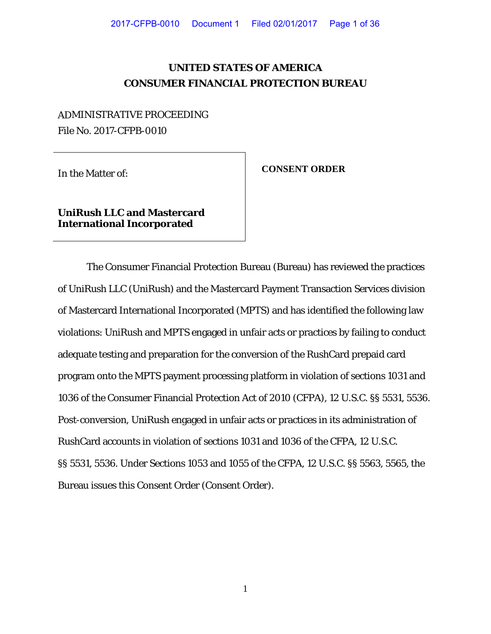## **UNITED STATES OF AMERICA CONSUMER FINANCIAL PROTECTION BUREAU**

## ADMINISTRATIVE PROCEEDING File No. 2017-CFPB-0010

In the Matter of: **CONSENT ORDER**

**UniRush LLC and Mastercard International Incorporated**

The Consumer Financial Protection Bureau (Bureau) has reviewed the practices of UniRush LLC (UniRush) and the Mastercard Payment Transaction Services division of Mastercard International Incorporated (MPTS) and has identified the following law violations: UniRush and MPTS engaged in unfair acts or practices by failing to conduct adequate testing and preparation for the conversion of the RushCard prepaid card program onto the MPTS payment processing platform in violation of sections 1031 and 1036 of the Consumer Financial Protection Act of 2010 (CFPA), 12 U.S.C. §§ 5531, 5536. Post-conversion, UniRush engaged in unfair acts or practices in its administration of RushCard accounts in violation of sections 1031 and 1036 of the CFPA, 12 U.S.C. §§ 5531, 5536. Under Sections 1053 and 1055 of the CFPA, 12 U.S.C. §§ 5563, 5565, the Bureau issues this Consent Order (Consent Order).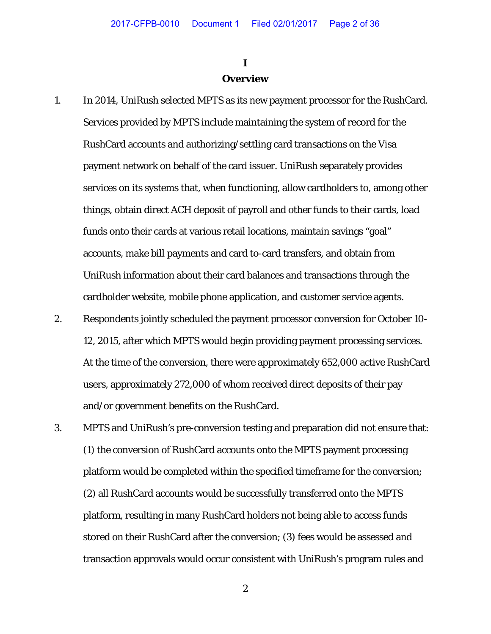## **I Overview**

- 1. In 2014, UniRush selected MPTS as its new payment processor for the RushCard. Services provided by MPTS include maintaining the system of record for the RushCard accounts and authorizing/settling card transactions on the Visa payment network on behalf of the card issuer. UniRush separately provides services on its systems that, when functioning, allow cardholders to, among other things, obtain direct ACH deposit of payroll and other funds to their cards, load funds onto their cards at various retail locations, maintain savings "goal" accounts, make bill payments and card to-card transfers, and obtain from UniRush information about their card balances and transactions through the cardholder website, mobile phone application, and customer service agents.
- 2. Respondents jointly scheduled the payment processor conversion for October 10- 12, 2015, after which MPTS would begin providing payment processing services. At the time of the conversion, there were approximately 652,000 active RushCard users, approximately 272,000 of whom received direct deposits of their pay and/or government benefits on the RushCard.
- 3. MPTS and UniRush's pre-conversion testing and preparation did not ensure that: (1) the conversion of RushCard accounts onto the MPTS payment processing platform would be completed within the specified timeframe for the conversion; (2) all RushCard accounts would be successfully transferred onto the MPTS platform, resulting in many RushCard holders not being able to access funds stored on their RushCard after the conversion; (3) fees would be assessed and transaction approvals would occur consistent with UniRush's program rules and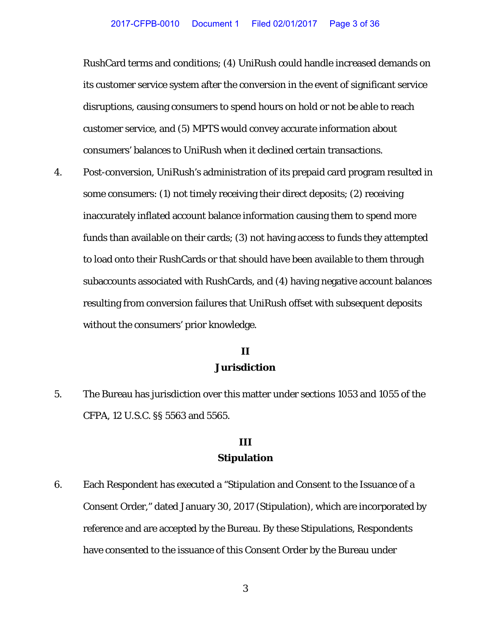RushCard terms and conditions; (4) UniRush could handle increased demands on its customer service system after the conversion in the event of significant service disruptions, causing consumers to spend hours on hold or not be able to reach customer service, and (5) MPTS would convey accurate information about consumers' balances to UniRush when it declined certain transactions.

4. Post-conversion, UniRush's administration of its prepaid card program resulted in some consumers: (1) not timely receiving their direct deposits; (2) receiving inaccurately inflated account balance information causing them to spend more funds than available on their cards; (3) not having access to funds they attempted to load onto their RushCards or that should have been available to them through subaccounts associated with RushCards, and (4) having negative account balances resulting from conversion failures that UniRush offset with subsequent deposits without the consumers' prior knowledge.

## **II Jurisdiction**

5. The Bureau has jurisdiction over this matter under sections 1053 and 1055 of the CFPA, 12 U.S.C. §§ 5563 and 5565.

## **III Stipulation**

6. Each Respondent has executed a "Stipulation and Consent to the Issuance of a Consent Order," dated January 30, 2017 (Stipulation), which are incorporated by reference and are accepted by the Bureau. By these Stipulations, Respondents have consented to the issuance of this Consent Order by the Bureau under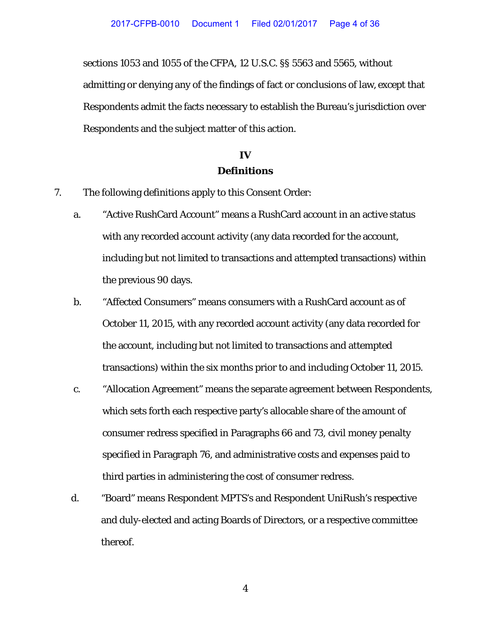sections 1053 and 1055 of the CFPA, 12 U.S.C. §§ 5563 and 5565, without admitting or denying any of the findings of fact or conclusions of law, except that Respondents admit the facts necessary to establish the Bureau's jurisdiction over Respondents and the subject matter of this action.

## **IV Definitions**

- 7. The following definitions apply to this Consent Order:
	- a. "Active RushCard Account" means a RushCard account in an active status with any recorded account activity (any data recorded for the account, including but not limited to transactions and attempted transactions) within the previous 90 days.
	- b. "Affected Consumers" means consumers with a RushCard account as of October 11, 2015, with any recorded account activity (any data recorded for the account, including but not limited to transactions and attempted transactions) within the six months prior to and including October 11, 2015.
	- c. "Allocation Agreement" means the separate agreement between Respondents, which sets forth each respective party's allocable share of the amount of consumer redress specified in Paragraphs 66 and 73, civil money penalty specified in Paragraph 76, and administrative costs and expenses paid to third parties in administering the cost of consumer redress.
	- d. "Board" means Respondent MPTS's and Respondent UniRush's respective and duly-elected and acting Boards of Directors, or a respective committee thereof.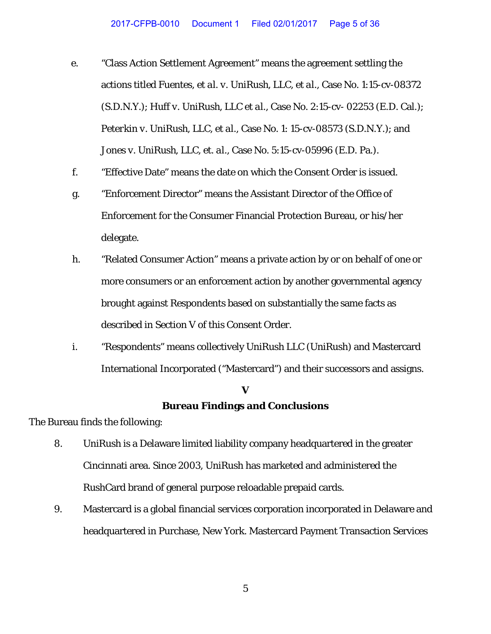- e. "Class Action Settlement Agreement" means the agreement settling the actions titled *Fuentes, et al. v. UniRush, LLC, et al.*, Case No. 1:15-cv-08372 (S.D.N.Y*.*); *Huff v. UniRush, LLC et al.*, Case No. 2:15-cv- 02253 (E.D. Cal.); *Peterkin v. UniRush, LLC, et al.*, Case No. 1: 15-cv-08573 (S.D.N.Y.); and *Jones v. UniRush, LLC, et. al.,* Case No. 5:15-cv-05996 (E.D. Pa.).
- f. "Effective Date" means the date on which the Consent Order is issued.
- g. "Enforcement Director" means the Assistant Director of the Office of Enforcement for the Consumer Financial Protection Bureau, or his/her delegate.
- h. "Related Consumer Action" means a private action by or on behalf of one or more consumers or an enforcement action by another governmental agency brought against Respondents based on substantially the same facts as described in Section V of this Consent Order.
- i. "Respondents" means collectively UniRush LLC (UniRush) and Mastercard International Incorporated ("Mastercard") and their successors and assigns.

## **V Bureau Findings and Conclusions**

The Bureau finds the following:

- 8. UniRush is a Delaware limited liability company headquartered in the greater Cincinnati area. Since 2003, UniRush has marketed and administered the RushCard brand of general purpose reloadable prepaid cards.
- 9. Mastercard is a global financial services corporation incorporated in Delaware and headquartered in Purchase, New York. Mastercard Payment Transaction Services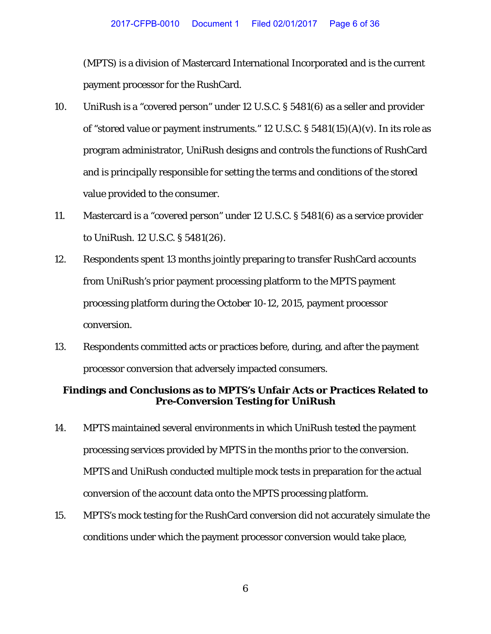(MPTS) is a division of Mastercard International Incorporated and is the current payment processor for the RushCard.

- 10. UniRush is a "covered person" under 12 U.S.C. § 5481(6) as a seller and provider of "stored value or payment instruments." 12 U.S.C. § 5481(15)(A)(v). In its role as program administrator, UniRush designs and controls the functions of RushCard and is principally responsible for setting the terms and conditions of the stored value provided to the consumer.
- 11. Mastercard is a "covered person" under 12 U.S.C. § 5481(6) as a service provider to UniRush. 12 U.S.C. § 5481(26).
- 12. Respondents spent 13 months jointly preparing to transfer RushCard accounts from UniRush's prior payment processing platform to the MPTS payment processing platform during the October 10-12, 2015, payment processor conversion.
- 13. Respondents committed acts or practices before, during, and after the payment processor conversion that adversely impacted consumers.

## **Findings and Conclusions as to MPTS's Unfair Acts or Practices Related to Pre-Conversion Testing for UniRush**

- <span id="page-5-0"></span>14. MPTS maintained several environments in which UniRush tested the payment processing services provided by MPTS in the months prior to the conversion. MPTS and UniRush conducted multiple mock tests in preparation for the actual conversion of the account data onto the MPTS processing platform.
- 15. MPTS's mock testing for the RushCard conversion did not accurately simulate the conditions under which the payment processor conversion would take place,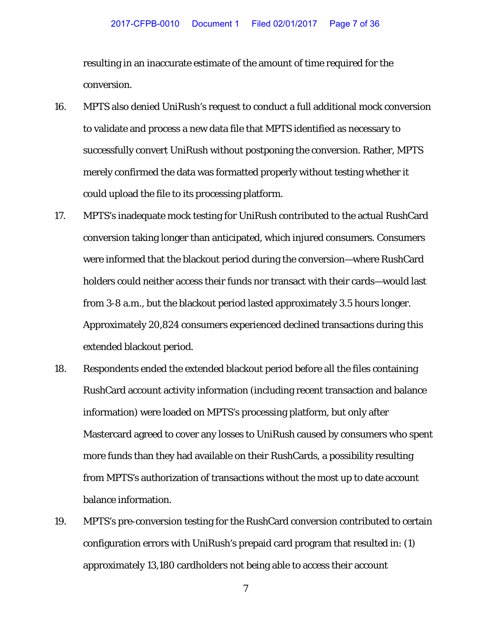resulting in an inaccurate estimate of the amount of time required for the conversion.

- 16. MPTS also denied UniRush's request to conduct a full additional mock conversion to validate and process a new data file that MPTS identified as necessary to successfully convert UniRush without postponing the conversion. Rather, MPTS merely confirmed the data was formatted properly without testing whether it could upload the file to its processing platform.
- 17. MPTS's inadequate mock testing for UniRush contributed to the actual RushCard conversion taking longer than anticipated, which injured consumers. Consumers were informed that the blackout period during the conversion—where RushCard holders could neither access their funds nor transact with their cards—would last from 3-8 a.m., but the blackout period lasted approximately 3.5 hours longer. Approximately 20,824 consumers experienced declined transactions during this extended blackout period.
- 18. Respondents ended the extended blackout period before all the files containing RushCard account activity information (including recent transaction and balance information) were loaded on MPTS's processing platform, but only after Mastercard agreed to cover any losses to UniRush caused by consumers who spent more funds than they had available on their RushCards, a possibility resulting from MPTS's authorization of transactions without the most up to date account balance information.
- 19. MPTS's pre-conversion testing for the RushCard conversion contributed to certain configuration errors with UniRush's prepaid card program that resulted in: (1) approximately 13,180 cardholders not being able to access their account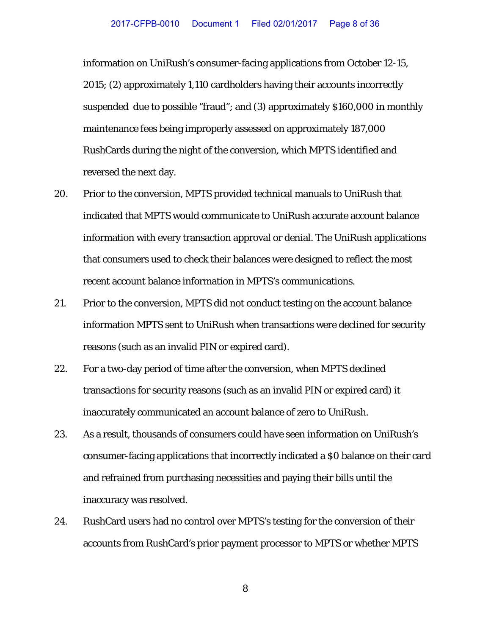information on UniRush's consumer-facing applications from October 12-15, 2015; (2) approximately 1,110 cardholders having their accounts incorrectly suspended due to possible "fraud"; and (3) approximately \$160,000 in monthly maintenance fees being improperly assessed on approximately 187,000 RushCards during the night of the conversion, which MPTS identified and reversed the next day.

- 20. Prior to the conversion, MPTS provided technical manuals to UniRush that indicated that MPTS would communicate to UniRush accurate account balance information with every transaction approval or denial. The UniRush applications that consumers used to check their balances were designed to reflect the most recent account balance information in MPTS's communications.
- 21. Prior to the conversion, MPTS did not conduct testing on the account balance information MPTS sent to UniRush when transactions were declined for security reasons (such as an invalid PIN or expired card).
- 22. For a two-day period of time after the conversion, when MPTS declined transactions for security reasons (such as an invalid PIN or expired card) it inaccurately communicated an account balance of zero to UniRush.
- 23. As a result, thousands of consumers could have seen information on UniRush's consumer-facing applications that incorrectly indicated a \$0 balance on their card and refrained from purchasing necessities and paying their bills until the inaccuracy was resolved.
- 24. RushCard users had no control over MPTS's testing for the conversion of their accounts from RushCard's prior payment processor to MPTS or whether MPTS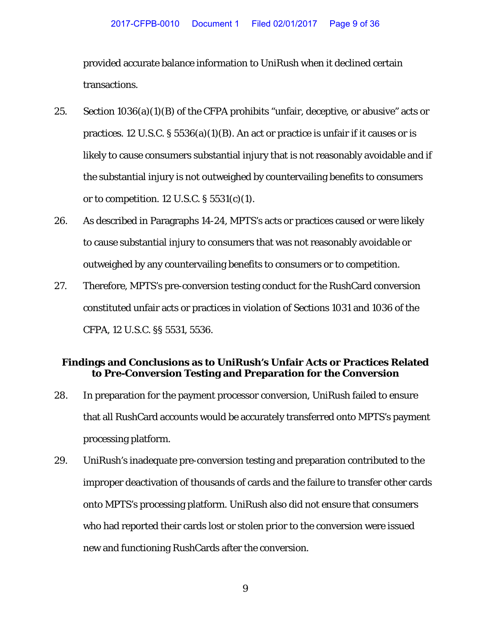provided accurate balance information to UniRush when it declined certain transactions.

- 25. Section  $1036(a)(1)(B)$  of the CFPA prohibits "unfair, deceptive, or abusive" acts or practices. 12 U.S.C.  $\S 5536(a)(1)(B)$ . An act or practice is unfair if it causes or is likely to cause consumers substantial injury that is not reasonably avoidable and if the substantial injury is not outweighed by countervailing benefits to consumers or to competition. 12 U.S.C.  $\S 5531(c)(1)$ .
- 26. As described in Paragraphs [14-](#page-5-0)24, MPTS's acts or practices caused or were likely to cause substantial injury to consumers that was not reasonably avoidable or outweighed by any countervailing benefits to consumers or to competition.
- 27. Therefore, MPTS's pre-conversion testing conduct for the RushCard conversion constituted unfair acts or practices in violation of Sections 1031 and 1036 of the CFPA, 12 U.S.C. §§ 5531, 5536.

## **Findings and Conclusions as to UniRush's Unfair Acts or Practices Related to Pre-Conversion Testing and Preparation for the Conversion**

- 28. In preparation for the payment processor conversion, UniRush failed to ensure that all RushCard accounts would be accurately transferred onto MPTS's payment processing platform.
- 29. UniRush's inadequate pre-conversion testing and preparation contributed to the improper deactivation of thousands of cards and the failure to transfer other cards onto MPTS's processing platform. UniRush also did not ensure that consumers who had reported their cards lost or stolen prior to the conversion were issued new and functioning RushCards after the conversion.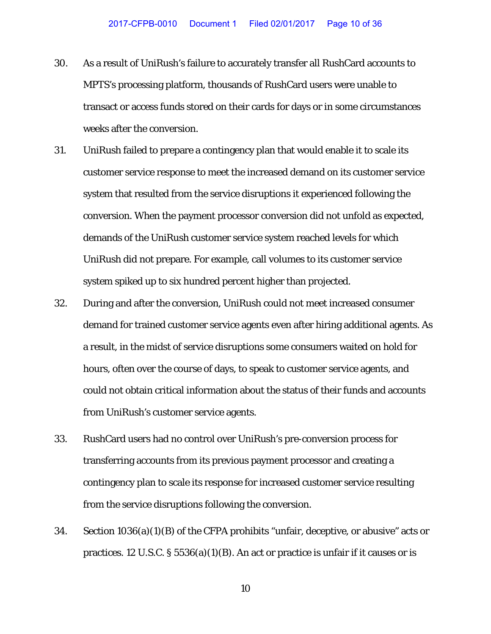- 30. As a result of UniRush's failure to accurately transfer all RushCard accounts to MPTS's processing platform, thousands of RushCard users were unable to transact or access funds stored on their cards for days or in some circumstances weeks after the conversion.
- 31. UniRush failed to prepare a contingency plan that would enable it to scale its customer service response to meet the increased demand on its customer service system that resulted from the service disruptions it experienced following the conversion. When the payment processor conversion did not unfold as expected, demands of the UniRush customer service system reached levels for which UniRush did not prepare. For example, call volumes to its customer service system spiked up to six hundred percent higher than projected.
- 32. During and after the conversion, UniRush could not meet increased consumer demand for trained customer service agents even after hiring additional agents. As a result, in the midst of service disruptions some consumers waited on hold for hours, often over the course of days, to speak to customer service agents, and could not obtain critical information about the status of their funds and accounts from UniRush's customer service agents.
- 33. RushCard users had no control over UniRush's pre-conversion process for transferring accounts from its previous payment processor and creating a contingency plan to scale its response for increased customer service resulting from the service disruptions following the conversion.
- 34. Section 1036(a)(1)(B) of the CFPA prohibits "unfair, deceptive, or abusive" acts or practices. 12 U.S.C. § 5536(a)(1)(B). An act or practice is unfair if it causes or is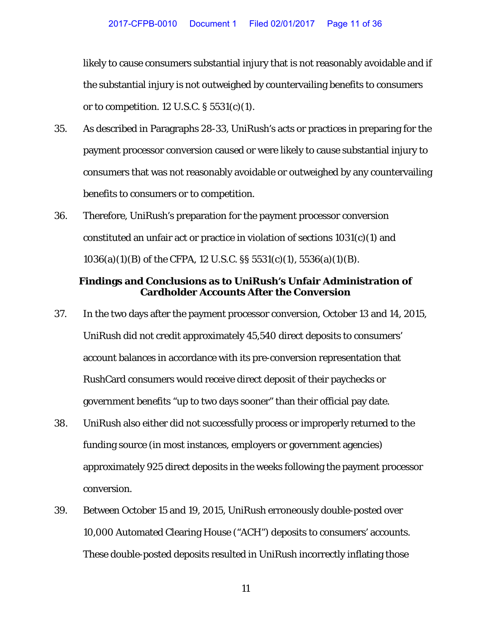likely to cause consumers substantial injury that is not reasonably avoidable and if the substantial injury is not outweighed by countervailing benefits to consumers or to competition. 12 U.S.C.  $\S 5531(c)(1)$ .

- 35. As described in Paragraphs 28-33, UniRush's acts or practices in preparing for the payment processor conversion caused or were likely to cause substantial injury to consumers that was not reasonably avoidable or outweighed by any countervailing benefits to consumers or to competition.
- 36. Therefore, UniRush's preparation for the payment processor conversion constituted an unfair act or practice in violation of sections  $1031(c)(1)$  and 1036(a)(1)(B) of the CFPA, 12 U.S.C. §§ 5531(c)(1), 5536(a)(1)(B).

### **Findings and Conclusions as to UniRush's Unfair Administration of Cardholder Accounts After the Conversion**

- 37. In the two days after the payment processor conversion, October 13 and 14, 2015, UniRush did not credit approximately 45,540 direct deposits to consumers' account balances in accordance with its pre-conversion representation that RushCard consumers would receive direct deposit of their paychecks or government benefits "up to two days sooner" than their official pay date.
- 38. UniRush also either did not successfully process or improperly returned to the funding source (in most instances, employers or government agencies) approximately 925 direct deposits in the weeks following the payment processor conversion.
- 39. Between October 15 and 19, 2015, UniRush erroneously double-posted over 10,000 Automated Clearing House ("ACH") deposits to consumers' accounts. These double-posted deposits resulted in UniRush incorrectly inflating those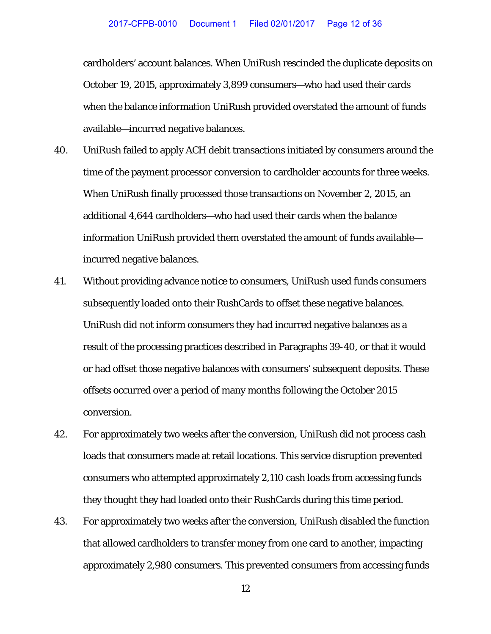cardholders' account balances. When UniRush rescinded the duplicate deposits on October 19, 2015, approximately 3,899 consumers—who had used their cards when the balance information UniRush provided overstated the amount of funds available—incurred negative balances.

- 40. UniRush failed to apply ACH debit transactions initiated by consumers around the time of the payment processor conversion to cardholder accounts for three weeks. When UniRush finally processed those transactions on November 2, 2015, an additional 4,644 cardholders—who had used their cards when the balance information UniRush provided them overstated the amount of funds available incurred negative balances.
- 41. Without providing advance notice to consumers, UniRush used funds consumers subsequently loaded onto their RushCards to offset these negative balances. UniRush did not inform consumers they had incurred negative balances as a result of the processing practices described in Paragraphs 39-40, or that it would or had offset those negative balances with consumers' subsequent deposits. These offsets occurred over a period of many months following the October 2015 conversion.
- 42. For approximately two weeks after the conversion, UniRush did not process cash loads that consumers made at retail locations. This service disruption prevented consumers who attempted approximately 2,110 cash loads from accessing funds they thought they had loaded onto their RushCards during this time period.
- 43. For approximately two weeks after the conversion, UniRush disabled the function that allowed cardholders to transfer money from one card to another, impacting approximately 2,980 consumers. This prevented consumers from accessing funds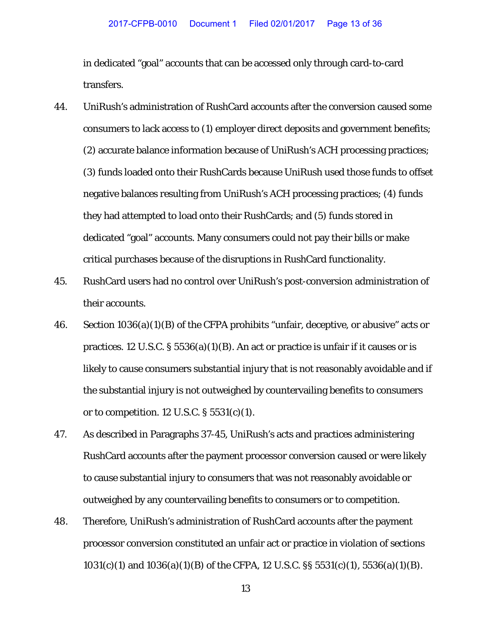in dedicated "goal" accounts that can be accessed only through card-to-card transfers.

- 44. UniRush's administration of RushCard accounts after the conversion caused some consumers to lack access to (1) employer direct deposits and government benefits; (2) accurate balance information because of UniRush's ACH processing practices; (3) funds loaded onto their RushCards because UniRush used those funds to offset negative balances resulting from UniRush's ACH processing practices; (4) funds they had attempted to load onto their RushCards; and (5) funds stored in dedicated "goal" accounts. Many consumers could not pay their bills or make critical purchases because of the disruptions in RushCard functionality.
- 45. RushCard users had no control over UniRush's post-conversion administration of their accounts.
- 46. Section 1036(a)(1)(B) of the CFPA prohibits "unfair, deceptive, or abusive" acts or practices. 12 U.S.C.  $\S 5536(a)(1)(B)$ . An act or practice is unfair if it causes or is likely to cause consumers substantial injury that is not reasonably avoidable and if the substantial injury is not outweighed by countervailing benefits to consumers or to competition. 12 U.S.C. § 5531(c)(1).
- 47. As described in Paragraphs 37-45, UniRush's acts and practices administering RushCard accounts after the payment processor conversion caused or were likely to cause substantial injury to consumers that was not reasonably avoidable or outweighed by any countervailing benefits to consumers or to competition.
- 48. Therefore, UniRush's administration of RushCard accounts after the payment processor conversion constituted an unfair act or practice in violation of sections 1031(c)(1) and 1036(a)(1)(B) of the CFPA, 12 U.S.C. §§ 5531(c)(1), 5536(a)(1)(B).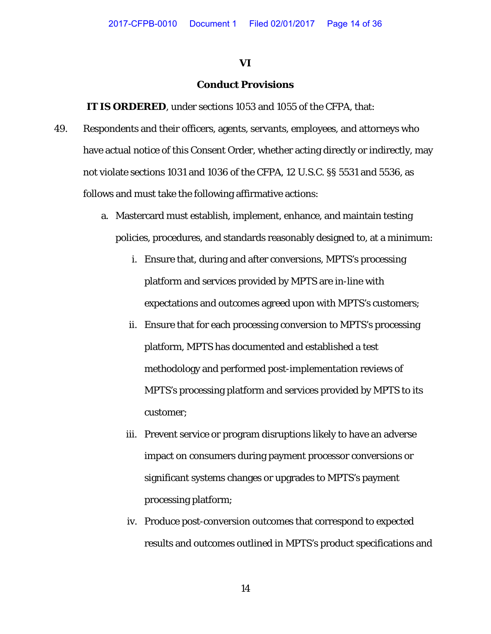#### **VI**

### **Conduct Provisions**

**IT IS ORDERED**, under sections 1053 and 1055 of the CFPA, that:

- 49. Respondents and their officers, agents, servants, employees, and attorneys who have actual notice of this Consent Order*,* whether acting directly or indirectly, may not violate sections 1031 and 1036 of the CFPA, 12 U.S.C. §§ 5531 and 5536, as follows and must take the following affirmative actions:
	- a. Mastercard must establish, implement, enhance, and maintain testing policies, procedures, and standards reasonably designed to, at a minimum:
		- i. Ensure that, during and after conversions, MPTS's processing platform and services provided by MPTS are in-line with expectations and outcomes agreed upon with MPTS's customers;
		- ii. Ensure that for each processing conversion to MPTS's processing platform, MPTS has documented and established a test methodology and performed post-implementation reviews of MPTS's processing platform and services provided by MPTS to its customer;
		- iii. Prevent service or program disruptions likely to have an adverse impact on consumers during payment processor conversions or significant systems changes or upgrades to MPTS's payment processing platform;
		- iv. Produce post-conversion outcomes that correspond to expected results and outcomes outlined in MPTS's product specifications and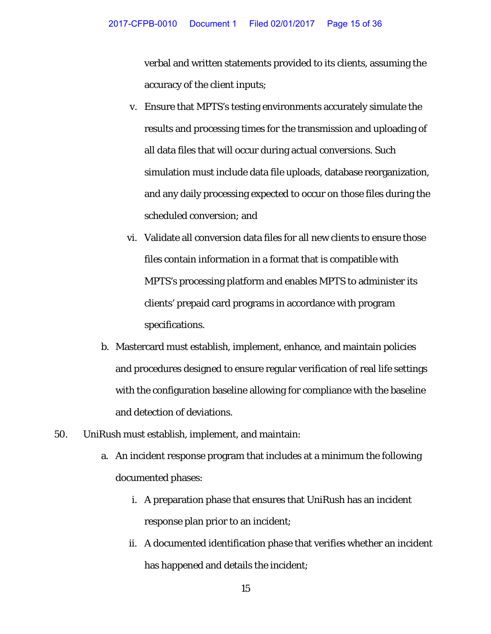verbal and written statements provided to its clients, assuming the accuracy of the client inputs;

- v. Ensure that MPTS's testing environments accurately simulate the results and processing times for the transmission and uploading of all data files that will occur during actual conversions. Such simulation must include data file uploads, database reorganization, and any daily processing expected to occur on those files during the scheduled conversion; and
- vi. Validate all conversion data files for all new clients to ensure those files contain information in a format that is compatible with MPTS's processing platform and enables MPTS to administer its clients' prepaid card programs in accordance with program specifications.
- b. Mastercard must establish, implement, enhance, and maintain policies and procedures designed to ensure regular verification of real life settings with the configuration baseline allowing for compliance with the baseline and detection of deviations.
- 50. UniRush must establish, implement, and maintain:
	- a. An incident response program that includes at a minimum the following documented phases:
		- i. A preparation phase that ensures that UniRush has an incident response plan prior to an incident;
		- ii. A documented identification phase that verifies whether an incident has happened and details the incident;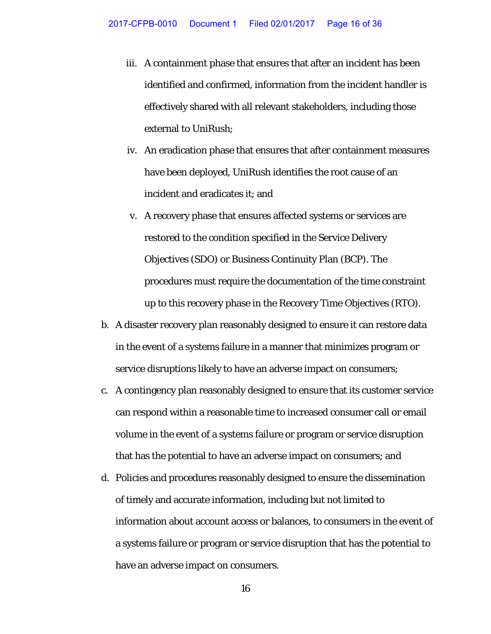- iii. A containment phase that ensures that after an incident has been identified and confirmed, information from the incident handler is effectively shared with all relevant stakeholders, including those external to UniRush;
- iv. An eradication phase that ensures that after containment measures have been deployed, UniRush identifies the root cause of an incident and eradicates it; and
- v. A recovery phase that ensures affected systems or services are restored to the condition specified in the Service Delivery Objectives (SDO) or Business Continuity Plan (BCP). The procedures must require the documentation of the time constraint up to this recovery phase in the Recovery Time Objectives (RTO).
- b. A disaster recovery plan reasonably designed to ensure it can restore data in the event of a systems failure in a manner that minimizes program or service disruptions likely to have an adverse impact on consumers;
- c. A contingency plan reasonably designed to ensure that its customer service can respond within a reasonable time to increased consumer call or email volume in the event of a systems failure or program or service disruption that has the potential to have an adverse impact on consumers; and
- d. Policies and procedures reasonably designed to ensure the dissemination of timely and accurate information, including but not limited to information about account access or balances, to consumers in the event of a systems failure or program or service disruption that has the potential to have an adverse impact on consumers.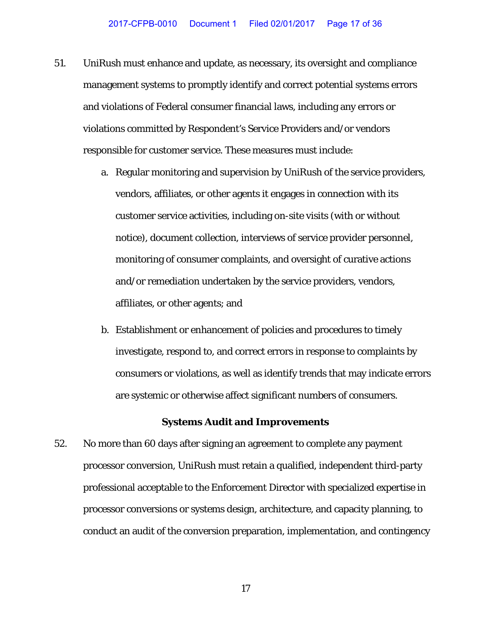- 51. UniRush must enhance and update, as necessary, its oversight and compliance management systems to promptly identify and correct potential systems errors and violations of Federal consumer financial laws, including any errors or violations committed by Respondent's Service Providers and/or vendors responsible for customer service. These measures must include:
	- a. Regular monitoring and supervision by UniRush of the service providers, vendors, affiliates, or other agents it engages in connection with its customer service activities, including on-site visits (with or without notice), document collection, interviews of service provider personnel, monitoring of consumer complaints, and oversight of curative actions and/or remediation undertaken by the service providers, vendors, affiliates, or other agents; and
	- b. Establishment or enhancement of policies and procedures to timely investigate, respond to, and correct errors in response to complaints by consumers or violations, as well as identify trends that may indicate errors are systemic or otherwise affect significant numbers of consumers.

#### **Systems Audit and Improvements**

52. No more than 60 days after signing an agreement to complete any payment processor conversion, UniRush must retain a qualified, independent third-party professional acceptable to the Enforcement Director with specialized expertise in processor conversions or systems design, architecture, and capacity planning, to conduct an audit of the conversion preparation, implementation, and contingency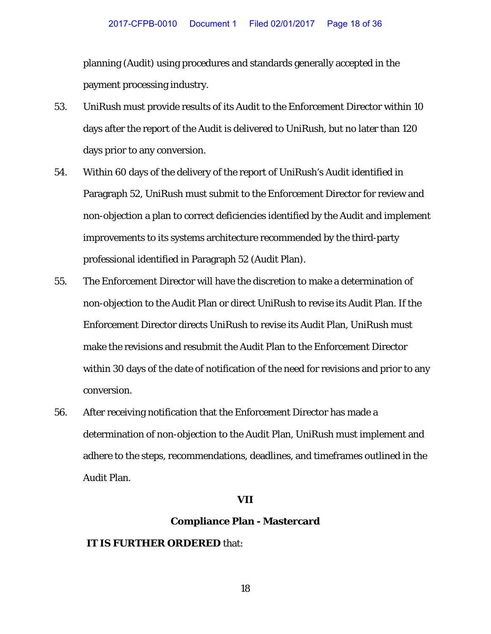planning (Audit) using procedures and standards generally accepted in the payment processing industry.

- 53. UniRush must provide results of its Audit to the Enforcement Director within 10 days after the report of the Audit is delivered to UniRush, but no later than 120 days prior to any conversion.
- 54. Within 60 days of the delivery of the report of UniRush's Audit identified in Paragraph 52, UniRush must submit to the Enforcement Director for review and non-objection a plan to correct deficiencies identified by the Audit and implement improvements to its systems architecture recommended by the third-party professional identified in Paragraph 52 (Audit Plan).
- 55. The Enforcement Director will have the discretion to make a determination of non-objection to the Audit Plan or direct UniRush to revise its Audit Plan. If the Enforcement Director directs UniRush to revise its Audit Plan, UniRush must make the revisions and resubmit the Audit Plan to the Enforcement Director within 30 days of the date of notification of the need for revisions and prior to any conversion.
- 56. After receiving notification that the Enforcement Director has made a determination of non-objection to the Audit Plan, UniRush must implement and adhere to the steps, recommendations, deadlines, and timeframes outlined in the Audit Plan.

#### **VII**

#### **Compliance Plan - Mastercard**

### **IT IS FURTHER ORDERED** that: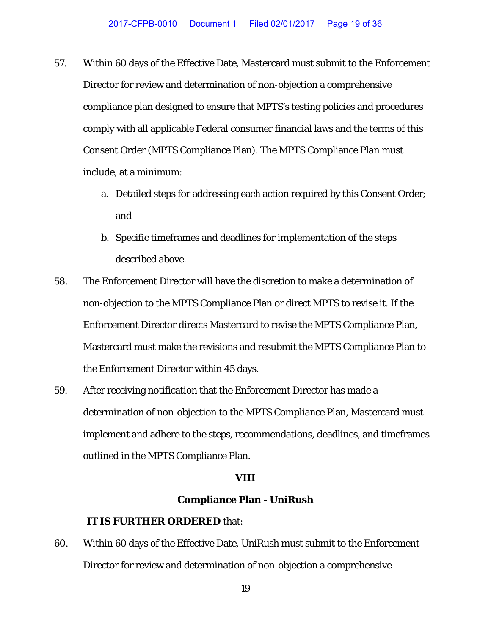- 57. Within 60 days of the Effective Date, Mastercard must submit to the Enforcement Director for review and determination of non-objection a comprehensive compliance plan designed to ensure that MPTS's testing policies and procedures comply with all applicable Federal consumer financial laws and the terms of this Consent Order (MPTS Compliance Plan). The MPTS Compliance Plan must include, at a minimum:
	- a. Detailed steps for addressing each action required by this Consent Order; and
	- b. Specific timeframes and deadlines for implementation of the steps described above.
- 58. The Enforcement Director will have the discretion to make a determination of non-objection to the MPTS Compliance Plan or direct MPTS to revise it. If the Enforcement Director directs Mastercard to revise the MPTS Compliance Plan, Mastercard must make the revisions and resubmit the MPTS Compliance Plan to the Enforcement Director within 45 days.
- 59. After receiving notification that the Enforcement Director has made a determination of non-objection to the MPTS Compliance Plan, Mastercard must implement and adhere to the steps, recommendations, deadlines, and timeframes outlined in the MPTS Compliance Plan.

#### **VIII**

### **Compliance Plan - UniRush**

## **IT IS FURTHER ORDERED** that:

60. Within 60 days of the Effective Date, UniRush must submit to the Enforcement Director for review and determination of non-objection a comprehensive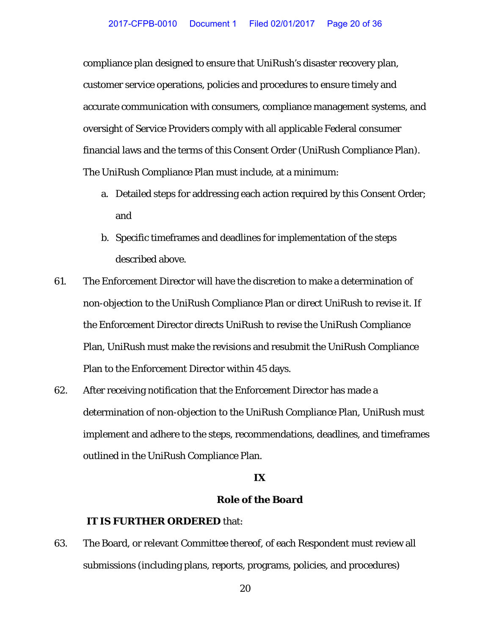compliance plan designed to ensure that UniRush's disaster recovery plan, customer service operations, policies and procedures to ensure timely and accurate communication with consumers, compliance management systems, and oversight of Service Providers comply with all applicable Federal consumer financial laws and the terms of this Consent Order (UniRush Compliance Plan). The UniRush Compliance Plan must include, at a minimum:

- a. Detailed steps for addressing each action required by this Consent Order; and
- b. Specific timeframes and deadlines for implementation of the steps described above.
- 61. The Enforcement Director will have the discretion to make a determination of non-objection to the UniRush Compliance Plan or direct UniRush to revise it. If the Enforcement Director directs UniRush to revise the UniRush Compliance Plan, UniRush must make the revisions and resubmit the UniRush Compliance Plan to the Enforcement Director within 45 days.
- 62. After receiving notification that the Enforcement Director has made a determination of non-objection to the UniRush Compliance Plan, UniRush must implement and adhere to the steps, recommendations, deadlines, and timeframes outlined in the UniRush Compliance Plan.

## **IX**

## **Role of the Board**

### **IT IS FURTHER ORDERED** that:

63. The Board, or relevant Committee thereof, of each Respondent must review all submissions (including plans, reports, programs, policies, and procedures)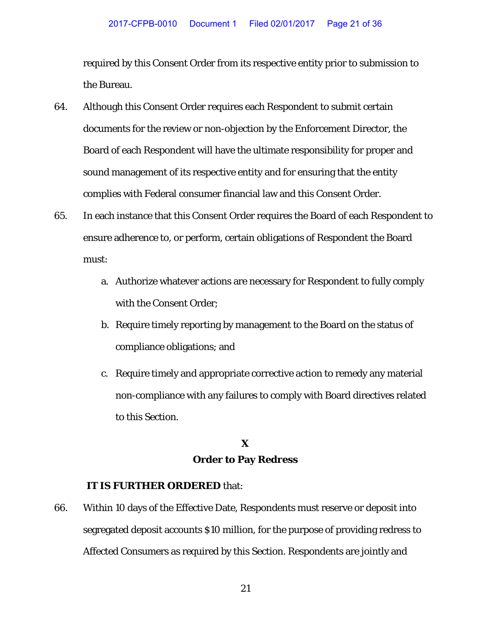required by this Consent Order from its respective entity prior to submission to the Bureau.

- 64. Although this Consent Order requires each Respondent to submit certain documents for the review or non-objection by the Enforcement Director, the Board of each Respondent will have the ultimate responsibility for proper and sound management of its respective entity and for ensuring that the entity complies with Federal consumer financial law and this Consent Order.
- 65. In each instance that this Consent Order requires the Board of each Respondent to ensure adherence to, or perform, certain obligations of Respondent the Board must:
	- a. Authorize whatever actions are necessary for Respondent to fully comply with the Consent Order;
	- b. Require timely reporting by management to the Board on the status of compliance obligations; and
	- c. Require timely and appropriate corrective action to remedy any material non-compliance with any failures to comply with Board directives related to this Section.

## **X Order to Pay Redress**

### **IT IS FURTHER ORDERED** that:

66. Within 10 days of the Effective Date, Respondents must reserve or deposit into segregated deposit accounts \$10 million, for the purpose of providing redress to Affected Consumers as required by this Section. Respondents are jointly and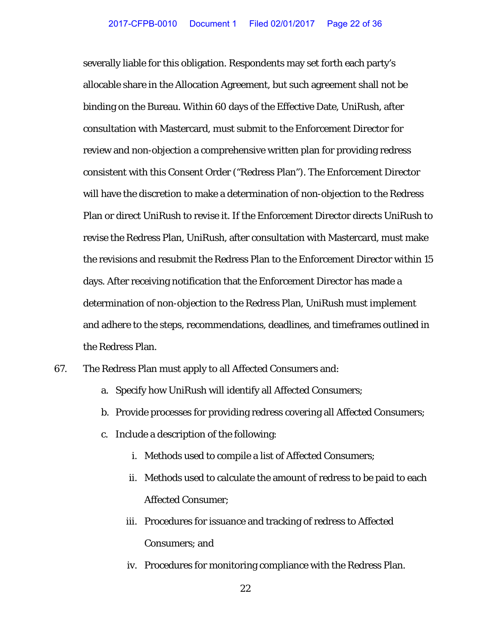severally liable for this obligation. Respondents may set forth each party's allocable share in the Allocation Agreement, but such agreement shall not be binding on the Bureau. Within 60 days of the Effective Date, UniRush, after consultation with Mastercard, must submit to the Enforcement Director for review and non-objection a comprehensive written plan for providing redress consistent with this Consent Order ("Redress Plan"). The Enforcement Director will have the discretion to make a determination of non-objection to the Redress Plan or direct UniRush to revise it. If the Enforcement Director directs UniRush to revise the Redress Plan, UniRush, after consultation with Mastercard, must make the revisions and resubmit the Redress Plan to the Enforcement Director within 15 days. After receiving notification that the Enforcement Director has made a determination of non-objection to the Redress Plan, UniRush must implement and adhere to the steps, recommendations, deadlines, and timeframes outlined in the Redress Plan.

- 67. The Redress Plan must apply to all Affected Consumers and:
	- a. Specify how UniRush will identify all Affected Consumers;
	- b. Provide processes for providing redress covering all Affected Consumers;
	- c. Include a description of the following:
		- i. Methods used to compile a list of Affected Consumers;
		- ii. Methods used to calculate the amount of redress to be paid to each Affected Consumer;
		- iii. Procedures for issuance and tracking of redress to Affected Consumers; and
		- iv. Procedures for monitoring compliance with the Redress Plan.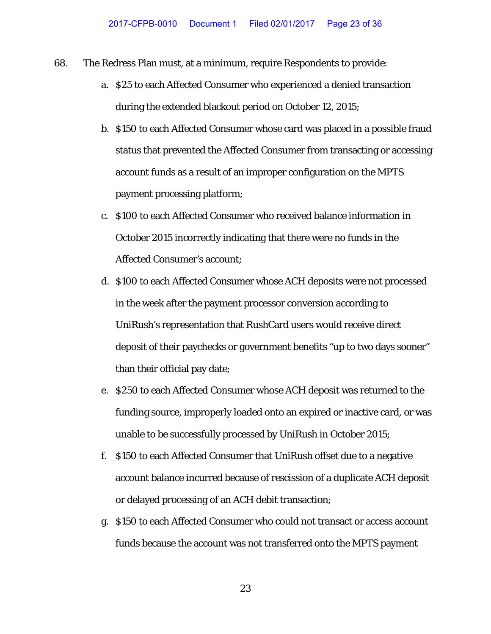- 68. The Redress Plan must, at a minimum, require Respondents to provide:
	- a. \$25 to each Affected Consumer who experienced a denied transaction during the extended blackout period on October 12, 2015;
	- b. \$150 to each Affected Consumer whose card was placed in a possible fraud status that prevented the Affected Consumer from transacting or accessing account funds as a result of an improper configuration on the MPTS payment processing platform;
	- c. \$100 to each Affected Consumer who received balance information in October 2015 incorrectly indicating that there were no funds in the Affected Consumer's account;
	- d. \$100 to each Affected Consumer whose ACH deposits were not processed in the week after the payment processor conversion according to UniRush's representation that RushCard users would receive direct deposit of their paychecks or government benefits "up to two days sooner" than their official pay date;
	- e. \$250 to each Affected Consumer whose ACH deposit was returned to the funding source, improperly loaded onto an expired or inactive card, or was unable to be successfully processed by UniRush in October 2015;
	- f. \$150 to each Affected Consumer that UniRush offset due to a negative account balance incurred because of rescission of a duplicate ACH deposit or delayed processing of an ACH debit transaction;
	- g. \$150 to each Affected Consumer who could not transact or access account funds because the account was not transferred onto the MPTS payment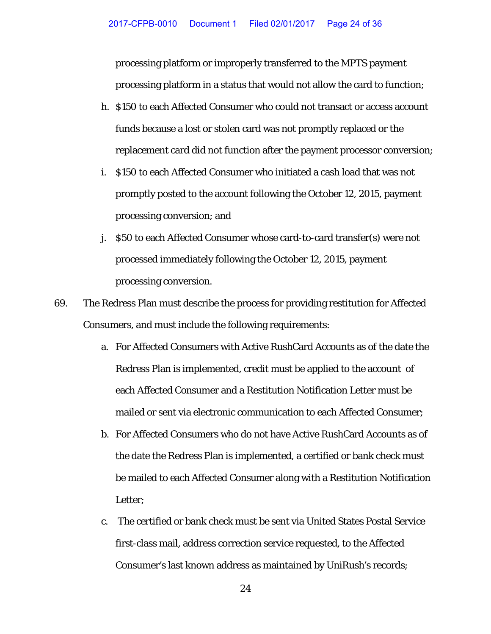processing platform or improperly transferred to the MPTS payment processing platform in a status that would not allow the card to function;

- h. \$150 to each Affected Consumer who could not transact or access account funds because a lost or stolen card was not promptly replaced or the replacement card did not function after the payment processor conversion;
- i. \$150 to each Affected Consumer who initiated a cash load that was not promptly posted to the account following the October 12, 2015, payment processing conversion; and
- j. \$50 to each Affected Consumer whose card-to-card transfer(s) were not processed immediately following the October 12, 2015, payment processing conversion.
- 69. The Redress Plan must describe the process for providing restitution for Affected Consumers, and must include the following requirements:
	- a. For Affected Consumers with Active RushCard Accounts as of the date the Redress Plan is implemented, credit must be applied to the account of each Affected Consumer and a Restitution Notification Letter must be mailed or sent via electronic communication to each Affected Consumer;
	- b. For Affected Consumers who do not have Active RushCard Accounts as of the date the Redress Plan is implemented, a certified or bank check must be mailed to each Affected Consumer along with a Restitution Notification Letter;
	- c. The certified or bank check must be sent via United States Postal Service first-class mail, address correction service requested, to the Affected Consumer's last known address as maintained by UniRush's records;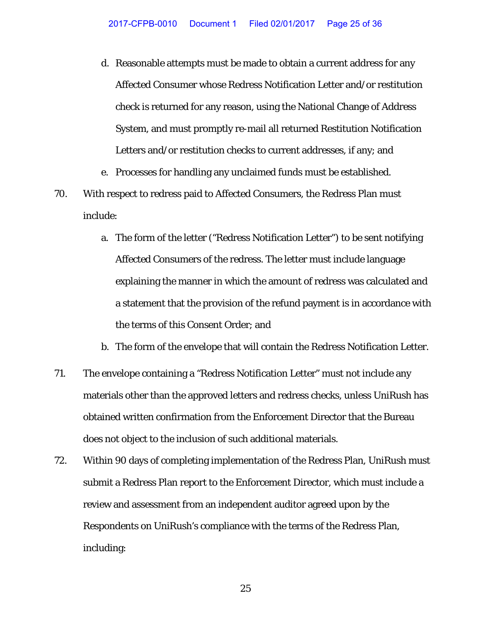- d. Reasonable attempts must be made to obtain a current address for any Affected Consumer whose Redress Notification Letter and/or restitution check is returned for any reason, using the National Change of Address System, and must promptly re-mail all returned Restitution Notification Letters and/or restitution checks to current addresses, if any; and
- e. Processes for handling any unclaimed funds must be established.
- 70. With respect to redress paid to Affected Consumers, the Redress Plan must include:
	- a. The form of the letter ("Redress Notification Letter") to be sent notifying Affected Consumers of the redress. The letter must include language explaining the manner in which the amount of redress was calculated and a statement that the provision of the refund payment is in accordance with the terms of this Consent Order; and
	- b. The form of the envelope that will contain the Redress Notification Letter.
- 71. The envelope containing a "Redress Notification Letter" must not include any materials other than the approved letters and redress checks, unless UniRush has obtained written confirmation from the Enforcement Director that the Bureau does not object to the inclusion of such additional materials.
- 72. Within 90 days of completing implementation of the Redress Plan, UniRush must submit a Redress Plan report to the Enforcement Director, which must include a review and assessment from an independent auditor agreed upon by the Respondents on UniRush's compliance with the terms of the Redress Plan, including: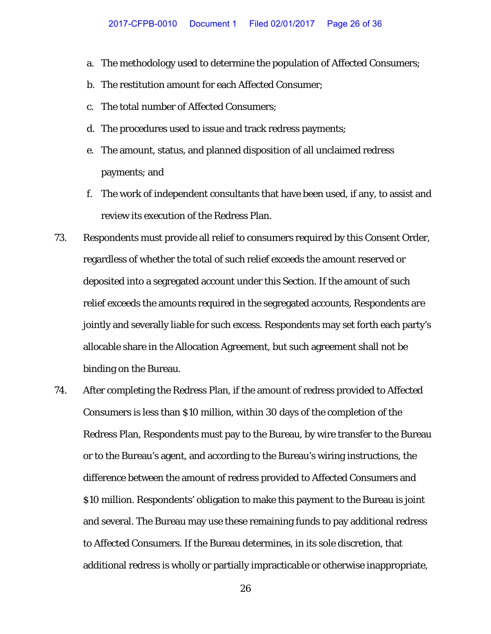- a. The methodology used to determine the population of Affected Consumers;
- b. The restitution amount for each Affected Consumer;
- c. The total number of Affected Consumers;
- d. The procedures used to issue and track redress payments;
- e. The amount, status, and planned disposition of all unclaimed redress payments; and
- f. The work of independent consultants that have been used, if any, to assist and review its execution of the Redress Plan.
- 73. Respondents must provide all relief to consumers required by this Consent Order, regardless of whether the total of such relief exceeds the amount reserved or deposited into a segregated account under this Section. If the amount of such relief exceeds the amounts required in the segregated accounts, Respondents are jointly and severally liable for such excess. Respondents may set forth each party's allocable share in the Allocation Agreement, but such agreement shall not be binding on the Bureau.
- 74. After completing the Redress Plan, if the amount of redress provided to Affected Consumers is less than \$10 million, within 30 days of the completion of the Redress Plan, Respondents must pay to the Bureau, by wire transfer to the Bureau or to the Bureau's agent, and according to the Bureau's wiring instructions, the difference between the amount of redress provided to Affected Consumers and \$10 million. Respondents' obligation to make this payment to the Bureau is joint and several. The Bureau may use these remaining funds to pay additional redress to Affected Consumers. If the Bureau determines, in its sole discretion, that additional redress is wholly or partially impracticable or otherwise inappropriate,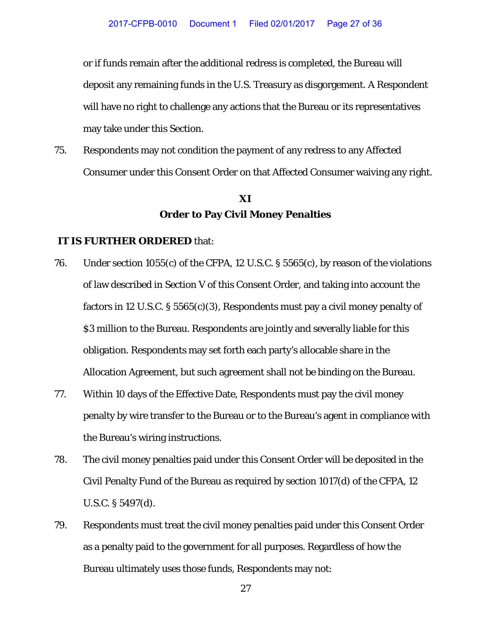or if funds remain after the additional redress is completed, the Bureau will deposit any remaining funds in the U.S. Treasury as disgorgement. A Respondent will have no right to challenge any actions that the Bureau or its representatives may take under this Section.

75. Respondents may not condition the payment of any redress to any Affected Consumer under this Consent Order on that Affected Consumer waiving any right.

## **XI Order to Pay Civil Money Penalties**

#### **IT IS FURTHER ORDERED** that:

- 76. Under section 1055(c) of the CFPA, 12 U.S.C. § 5565(c), by reason of the violations of law described in Section V of this Consent Order, and taking into account the factors in 12 U.S.C. § 5565(c)(3), Respondents must pay a civil money penalty of \$3 million to the Bureau. Respondents are jointly and severally liable for this obligation. Respondents may set forth each party's allocable share in the Allocation Agreement, but such agreement shall not be binding on the Bureau.
- 77. Within 10 days of the Effective Date, Respondents must pay the civil money penalty by wire transfer to the Bureau or to the Bureau's agent in compliance with the Bureau's wiring instructions.
- 78. The civil money penalties paid under this Consent Order will be deposited in the Civil Penalty Fund of the Bureau as required by section 1017(d) of the CFPA, 12 U.S.C. § 5497(d).
- 79. Respondents must treat the civil money penalties paid under this Consent Order as a penalty paid to the government for all purposes. Regardless of how the Bureau ultimately uses those funds, Respondents may not: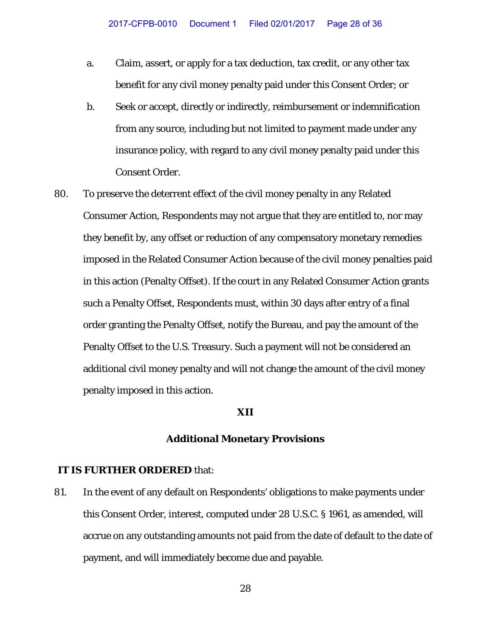- a. Claim, assert, or apply for a tax deduction, tax credit, or any other tax benefit for any civil money penalty paid under this Consent Order; or
- b. Seek or accept, directly or indirectly, reimbursement or indemnification from any source, including but not limited to payment made under any insurance policy, with regard to any civil money penalty paid under this Consent Order.
- 80. To preserve the deterrent effect of the civil money penalty in any Related Consumer Action, Respondents may not argue that they are entitled to, nor may they benefit by, any offset or reduction of any compensatory monetary remedies imposed in the Related Consumer Action because of the civil money penalties paid in this action (Penalty Offset). If the court in any Related Consumer Action grants such a Penalty Offset, Respondents must, within 30 days after entry of a final order granting the Penalty Offset, notify the Bureau, and pay the amount of the Penalty Offset to the U.S. Treasury. Such a payment will not be considered an additional civil money penalty and will not change the amount of the civil money penalty imposed in this action.

#### **XII**

#### **Additional Monetary Provisions**

#### **IT IS FURTHER ORDERED** that:

81. In the event of any default on Respondents' obligations to make payments under this Consent Order, interest, computed under 28 U.S.C. § 1961, as amended, will accrue on any outstanding amounts not paid from the date of default to the date of payment, and will immediately become due and payable.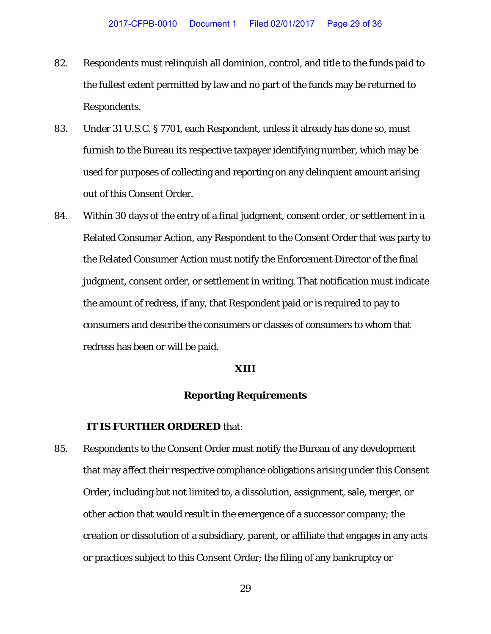- 82. Respondents must relinquish all dominion, control, and title to the funds paid to the fullest extent permitted by law and no part of the funds may be returned to Respondents.
- 83. Under 31 U.S.C. § 7701, each Respondent, unless it already has done so, must furnish to the Bureau its respective taxpayer identifying number, which may be used for purposes of collecting and reporting on any delinquent amount arising out of this Consent Order.
- 84. Within 30 days of the entry of a final judgment, consent order, or settlement in a Related Consumer Action, any Respondent to the Consent Order that was party to the Related Consumer Action must notify the Enforcement Director of the final judgment, consent order, or settlement in writing. That notification must indicate the amount of redress, if any, that Respondent paid or is required to pay to consumers and describe the consumers or classes of consumers to whom that redress has been or will be paid.

#### **XIII**

### **Reporting Requirements**

#### **IT IS FURTHER ORDERED** that:

85. Respondents to the Consent Order must notify the Bureau of any development that may affect their respective compliance obligations arising under this Consent Order, including but not limited to, a dissolution, assignment, sale, merger, or other action that would result in the emergence of a successor company; the creation or dissolution of a subsidiary, parent, or affiliate that engages in any acts or practices subject to this Consent Order; the filing of any bankruptcy or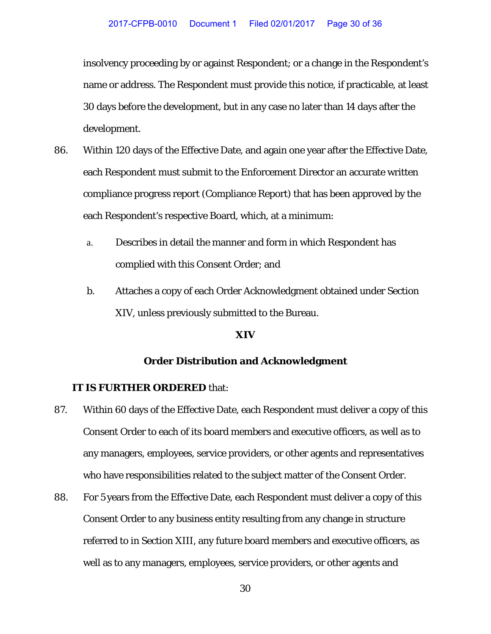insolvency proceeding by or against Respondent; or a change in the Respondent's name or address. The Respondent must provide this notice, if practicable, at least 30 days before the development, but in any case no later than 14 days after the development.

- 86. Within 120 days of the Effective Date, and again one year after the Effective Date, each Respondent must submit to the Enforcement Director an accurate written compliance progress report (Compliance Report) that has been approved by the each Respondent's respective Board, which, at a minimum:
	- a. Describes in detail the manner and form in which Respondent has complied with this Consent Order; and
	- b. Attaches a copy of each Order Acknowledgment obtained under Section XIV, unless previously submitted to the Bureau.

#### **XIV**

#### **Order Distribution and Acknowledgment**

### **IT IS FURTHER ORDERED** that:

- 87. Within 60 days of the Effective Date, each Respondent must deliver a copy of this Consent Order to each of its board members and executive officers, as well as to any managers, employees, service providers, or other agents and representatives who have responsibilities related to the subject matter of the Consent Order.
- 88. For 5 years from the Effective Date, each Respondent must deliver a copy of this Consent Order to any business entity resulting from any change in structure referred to in Section XIII, any future board members and executive officers, as well as to any managers, employees, service providers, or other agents and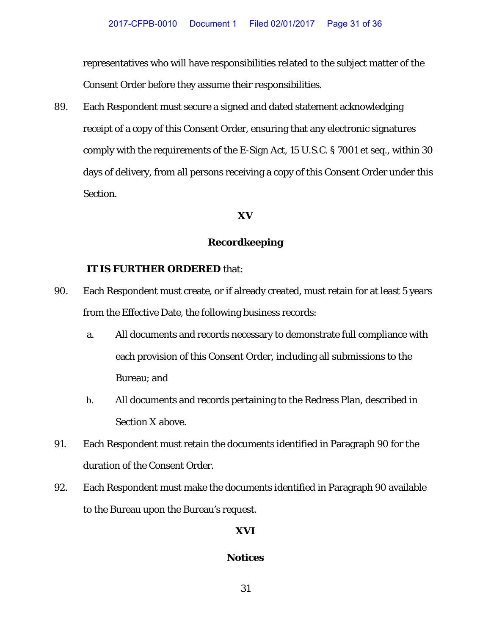representatives who will have responsibilities related to the subject matter of the Consent Order before they assume their responsibilities.

89. Each Respondent must secure a signed and dated statement acknowledging receipt of a copy of this Consent Order, ensuring that any electronic signatures comply with the requirements of the E-Sign Act, 15 U.S.C. § 7001 *et seq.*, within 30 days of delivery, from all persons receiving a copy of this Consent Order under this Section.

## **XV**

## **Recordkeeping**

### **IT IS FURTHER ORDERED** that:

- 90. Each Respondent must create, or if already created, must retain for at least 5 years from the Effective Date, the following business records:
	- a. All documents and records necessary to demonstrate full compliance with each provision of this Consent Order, including all submissions to the Bureau; and
	- b. All documents and records pertaining to the Redress Plan, described in Section X above.
- 91. Each Respondent must retain the documents identified in Paragraph 90 for the duration of the Consent Order.
- 92. Each Respondent must make the documents identified in Paragraph 90 available to the Bureau upon the Bureau's request.

## **XVI**

## **Notices**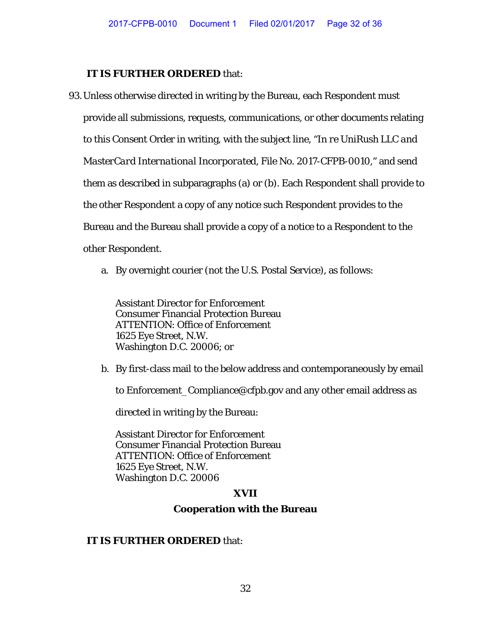#### **IT IS FURTHER ORDERED** that:

- 93.Unless otherwise directed in writing by the Bureau, each Respondent must provide all submissions, requests, communications, or other documents relating to this Consent Order in writing, with the subject line, "*In re UniRush LLC and MasterCard International Incorporated*, File No. 2017-CFPB-0010," and send them as described in subparagraphs (a) or (b). Each Respondent shall provide to the other Respondent a copy of any notice such Respondent provides to the Bureau and the Bureau shall provide a copy of a notice to a Respondent to the other Respondent.
	- a. By overnight courier (not the U.S. Postal Service), as follows:

Assistant Director for Enforcement Consumer Financial Protection Bureau ATTENTION: Office of Enforcement 1625 Eye Street, N.W. Washington D.C. 20006; or

b. By first-class mail to the below address and contemporaneously by email

to Enforcement\_Compliance@cfpb.gov and any other email address as

directed in writing by the Bureau:

Assistant Director for Enforcement Consumer Financial Protection Bureau ATTENTION: Office of Enforcement 1625 Eye Street, N.W. Washington D.C. 20006

## **XVII**

#### **Cooperation with the Bureau**

#### **IT IS FURTHER ORDERED** that: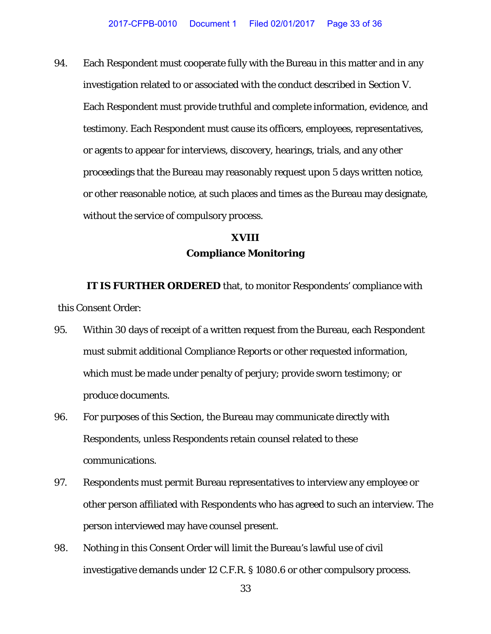94. Each Respondent must cooperate fully with the Bureau in this matter and in any investigation related to or associated with the conduct described in Section V. Each Respondent must provide truthful and complete information, evidence, and testimony. Each Respondent must cause its officers, employees, representatives, or agents to appear for interviews, discovery, hearings, trials, and any other proceedings that the Bureau may reasonably request upon 5 days written notice, or other reasonable notice, at such places and times as the Bureau may designate, without the service of compulsory process.

## **XVIII Compliance Monitoring**

**IT IS FURTHER ORDERED** that, to monitor Respondents' compliance with this Consent Order:

- 95. Within 30 days of receipt of a written request from the Bureau, each Respondent must submit additional Compliance Reports or other requested information, which must be made under penalty of perjury; provide sworn testimony; or produce documents.
- 96. For purposes of this Section, the Bureau may communicate directly with Respondents, unless Respondents retain counsel related to these communications.
- 97. Respondents must permit Bureau representatives to interview any employee or other person affiliated with Respondents who has agreed to such an interview. The person interviewed may have counsel present.
- 98. Nothing in this Consent Order will limit the Bureau's lawful use of civil investigative demands under 12 C.F.R. § 1080.6 or other compulsory process.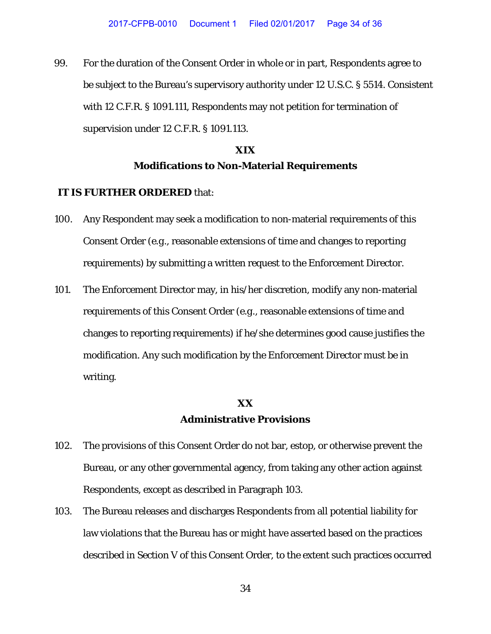99. For the duration of the Consent Order in whole or in part, Respondents agree to be subject to the Bureau's supervisory authority under 12 U.S.C. § 5514. Consistent with 12 C.F.R. § 1091.111, Respondents may not petition for termination of supervision under 12 C.F.R. § 1091.113.

# **XIX Modifications to Non-Material Requirements**

#### **IT IS FURTHER ORDERED** that:

- 100. Any Respondent may seek a modification to non-material requirements of this Consent Order (*e.g*., reasonable extensions of time and changes to reporting requirements) by submitting a written request to the Enforcement Director.
- 101. The Enforcement Director may, in his/her discretion, modify any non-material requirements of this Consent Order (*e.g*., reasonable extensions of time and changes to reporting requirements) if he/she determines good cause justifies the modification. Any such modification by the Enforcement Director must be in writing.

## **XX Administrative Provisions**

- 102. The provisions of this Consent Order do not bar, estop, or otherwise prevent the Bureau, or any other governmental agency, from taking any other action against Respondents, except as described in Paragraph 103.
- 103. The Bureau releases and discharges Respondents from all potential liability for law violations that the Bureau has or might have asserted based on the practices described in Section V of this Consent Order, to the extent such practices occurred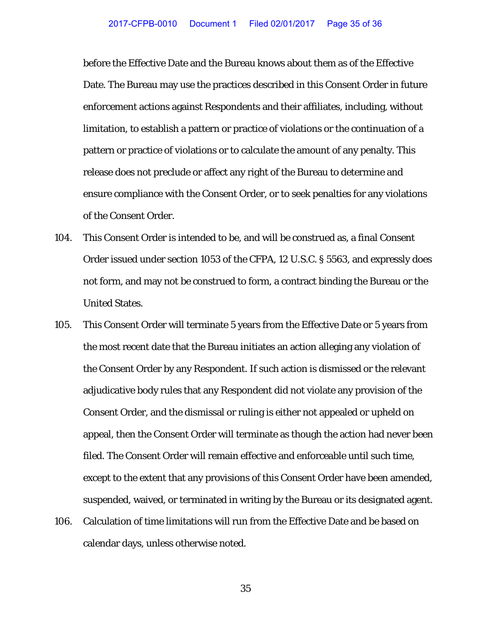before the Effective Date and the Bureau knows about them as of the Effective Date. The Bureau may use the practices described in this Consent Order in future enforcement actions against Respondents and their affiliates, including, without limitation, to establish a pattern or practice of violations or the continuation of a pattern or practice of violations or to calculate the amount of any penalty. This release does not preclude or affect any right of the Bureau to determine and ensure compliance with the Consent Order, or to seek penalties for any violations of the Consent Order.

- 104. This Consent Order is intended to be, and will be construed as, a final Consent Order issued under section 1053 of the CFPA, 12 U.S.C. § 5563, and expressly does not form, and may not be construed to form, a contract binding the Bureau or the United States.
- 105. This Consent Order will terminate 5 years from the Effective Date or 5 years from the most recent date that the Bureau initiates an action alleging any violation of the Consent Order by any Respondent. If such action is dismissed or the relevant adjudicative body rules that any Respondent did not violate any provision of the Consent Order, and the dismissal or ruling is either not appealed or upheld on appeal, then the Consent Order will terminate as though the action had never been filed. The Consent Order will remain effective and enforceable until such time, except to the extent that any provisions of this Consent Order have been amended, suspended, waived, or terminated in writing by the Bureau or its designated agent.
- 106. Calculation of time limitations will run from the Effective Date and be based on calendar days, unless otherwise noted.